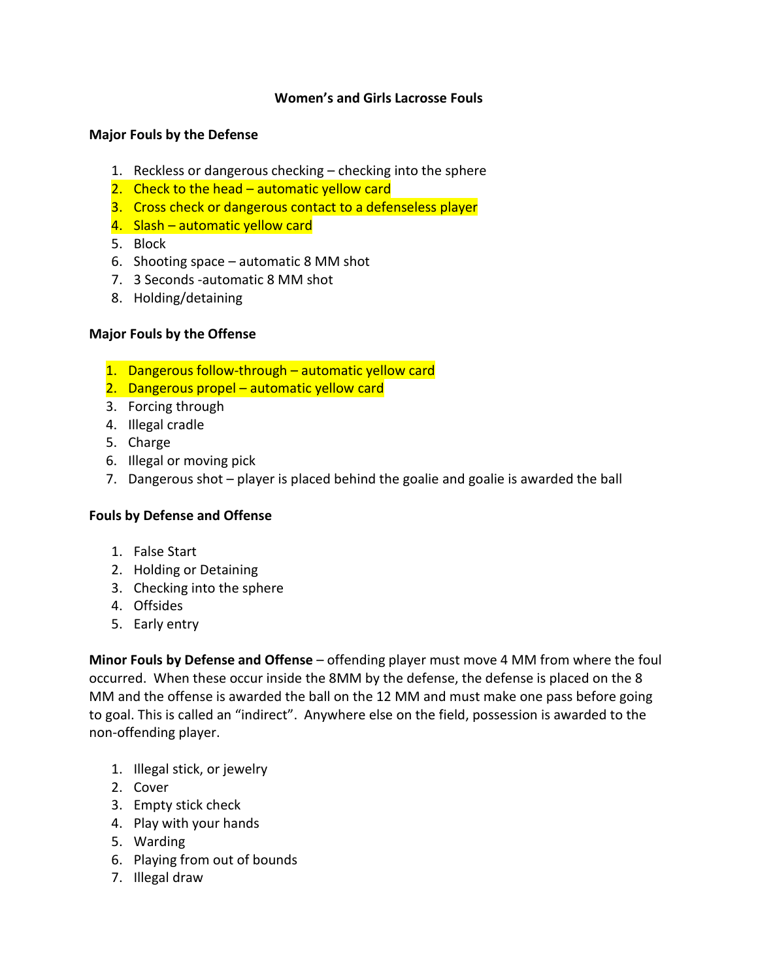### **Women's and Girls Lacrosse Fouls**

#### **Major Fouls by the Defense**

- 1. Reckless or dangerous checking checking into the sphere
- 2. Check to the head automatic yellow card
- 3. Cross check or dangerous contact to a defenseless player
- 4. Slash automatic yellow card
- 5. Block
- 6. Shooting space automatic 8 MM shot
- 7. 3 Seconds -automatic 8 MM shot
- 8. Holding/detaining

#### **Major Fouls by the Offense**

- 1. Dangerous follow-through automatic yellow card
- 2. Dangerous propel automatic yellow card
- 3. Forcing through
- 4. Illegal cradle
- 5. Charge
- 6. Illegal or moving pick
- 7. Dangerous shot player is placed behind the goalie and goalie is awarded the ball

#### **Fouls by Defense and Offense**

- 1. False Start
- 2. Holding or Detaining
- 3. Checking into the sphere
- 4. Offsides
- 5. Early entry

**Minor Fouls by Defense and Offense** – offending player must move 4 MM from where the foul occurred. When these occur inside the 8MM by the defense, the defense is placed on the 8 MM and the offense is awarded the ball on the 12 MM and must make one pass before going to goal. This is called an "indirect". Anywhere else on the field, possession is awarded to the non-offending player.

- 1. Illegal stick, or jewelry
- 2. Cover
- 3. Empty stick check
- 4. Play with your hands
- 5. Warding
- 6. Playing from out of bounds
- 7. Illegal draw